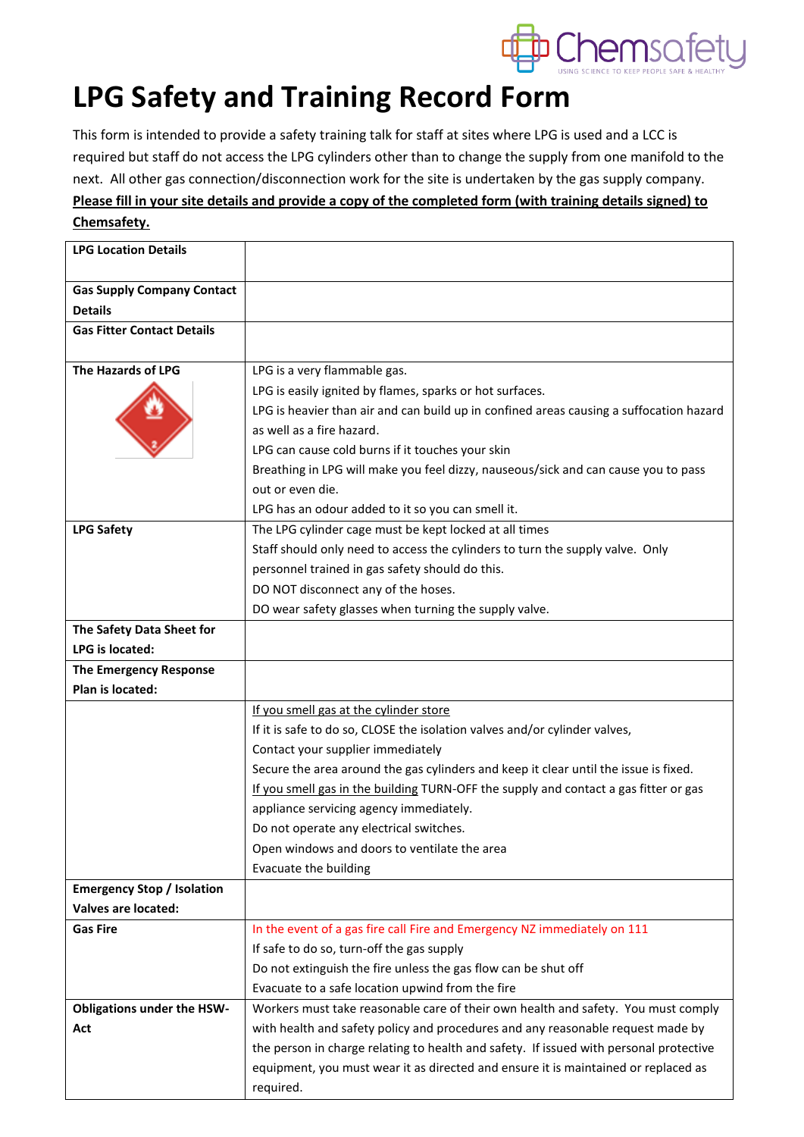

## **LPG Safety and Training Record Form**

This form is intended to provide a safety training talk for staff at sites where LPG is used and a LCC is required but staff do not access the LPG cylinders other than to change the supply from one manifold to the next. All other gas connection/disconnection work for the site is undertaken by the gas supply company. **Please fill in your site details and provide a copy of the completed form (with training details signed) to Chemsafety.**

| <b>LPG Location Details</b>       |                                                                                                 |  |  |
|-----------------------------------|-------------------------------------------------------------------------------------------------|--|--|
| <b>Gas Supply Company Contact</b> |                                                                                                 |  |  |
| <b>Details</b>                    |                                                                                                 |  |  |
| <b>Gas Fitter Contact Details</b> |                                                                                                 |  |  |
|                                   |                                                                                                 |  |  |
| The Hazards of LPG                | LPG is a very flammable gas.                                                                    |  |  |
|                                   | LPG is easily ignited by flames, sparks or hot surfaces.                                        |  |  |
|                                   | LPG is heavier than air and can build up in confined areas causing a suffocation hazard         |  |  |
|                                   | as well as a fire hazard.                                                                       |  |  |
|                                   | LPG can cause cold burns if it touches your skin                                                |  |  |
|                                   | Breathing in LPG will make you feel dizzy, nauseous/sick and can cause you to pass              |  |  |
|                                   | out or even die.                                                                                |  |  |
|                                   | LPG has an odour added to it so you can smell it.                                               |  |  |
| <b>LPG Safety</b>                 | The LPG cylinder cage must be kept locked at all times                                          |  |  |
|                                   | Staff should only need to access the cylinders to turn the supply valve. Only                   |  |  |
|                                   | personnel trained in gas safety should do this.                                                 |  |  |
|                                   | DO NOT disconnect any of the hoses.                                                             |  |  |
|                                   | DO wear safety glasses when turning the supply valve.                                           |  |  |
| The Safety Data Sheet for         |                                                                                                 |  |  |
| LPG is located:                   |                                                                                                 |  |  |
| The Emergency Response            |                                                                                                 |  |  |
| Plan is located:                  |                                                                                                 |  |  |
|                                   | If you smell gas at the cylinder store                                                          |  |  |
|                                   | If it is safe to do so, CLOSE the isolation valves and/or cylinder valves,                      |  |  |
|                                   | Contact your supplier immediately                                                               |  |  |
|                                   | Secure the area around the gas cylinders and keep it clear until the issue is fixed.            |  |  |
|                                   | If you smell gas in the building TURN-OFF the supply and contact a gas fitter or gas            |  |  |
|                                   | appliance servicing agency immediately.                                                         |  |  |
|                                   | Do not operate any electrical switches.                                                         |  |  |
|                                   | Open windows and doors to ventilate the area                                                    |  |  |
|                                   | Evacuate the building                                                                           |  |  |
| <b>Emergency Stop / Isolation</b> |                                                                                                 |  |  |
| <b>Valves are located:</b>        |                                                                                                 |  |  |
| <b>Gas Fire</b>                   | In the event of a gas fire call Fire and Emergency NZ immediately on 111                        |  |  |
|                                   | If safe to do so, turn-off the gas supply                                                       |  |  |
|                                   | Do not extinguish the fire unless the gas flow can be shut off                                  |  |  |
|                                   | Evacuate to a safe location upwind from the fire                                                |  |  |
| <b>Obligations under the HSW-</b> | Workers must take reasonable care of their own health and safety. You must comply               |  |  |
| Act                               | with health and safety policy and procedures and any reasonable request made by                 |  |  |
|                                   | the person in charge relating to health and safety. If issued with personal protective          |  |  |
|                                   | equipment, you must wear it as directed and ensure it is maintained or replaced as<br>required. |  |  |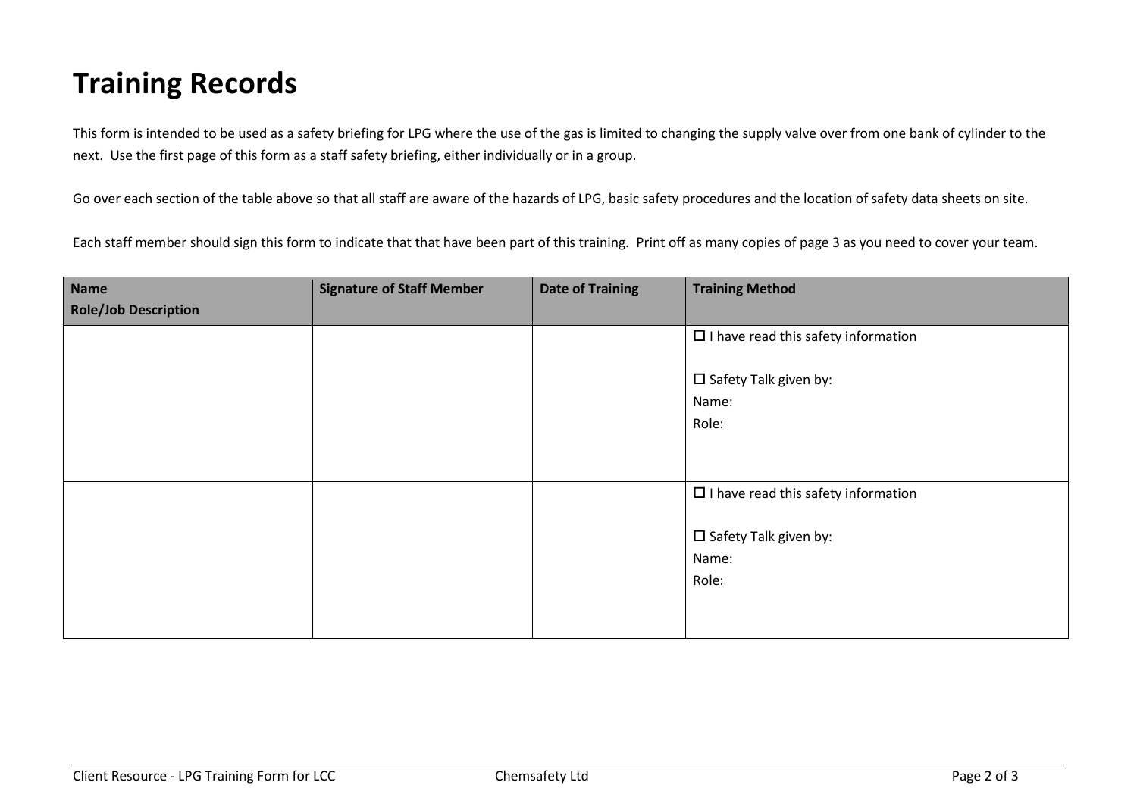## **Training Records**

This form is intended to be used as a safety briefing for LPG where the use of the gas is limited to changing the supply valve over from one bank of cylinder to the next. Use the first page of this form as a staff safety briefing, either individually or in a group.

Go over each section of the table above so that all staff are aware of the hazards of LPG, basic safety procedures and the location of safety data sheets on site.

Each staff member should sign this form to indicate that that have been part of this training. Print off as many copies of page 3 as you need to cover your team.

| Name                        | <b>Signature of Staff Member</b> | <b>Date of Training</b> | <b>Training Method</b>                                                                          |
|-----------------------------|----------------------------------|-------------------------|-------------------------------------------------------------------------------------------------|
| <b>Role/Job Description</b> |                                  |                         |                                                                                                 |
|                             |                                  |                         | $\Box$ I have read this safety information                                                      |
|                             |                                  |                         | $\square$ Safety Talk given by:<br>Name:<br>Role:                                               |
|                             |                                  |                         | $\Box$ I have read this safety information<br>$\square$ Safety Talk given by:<br>Name:<br>Role: |